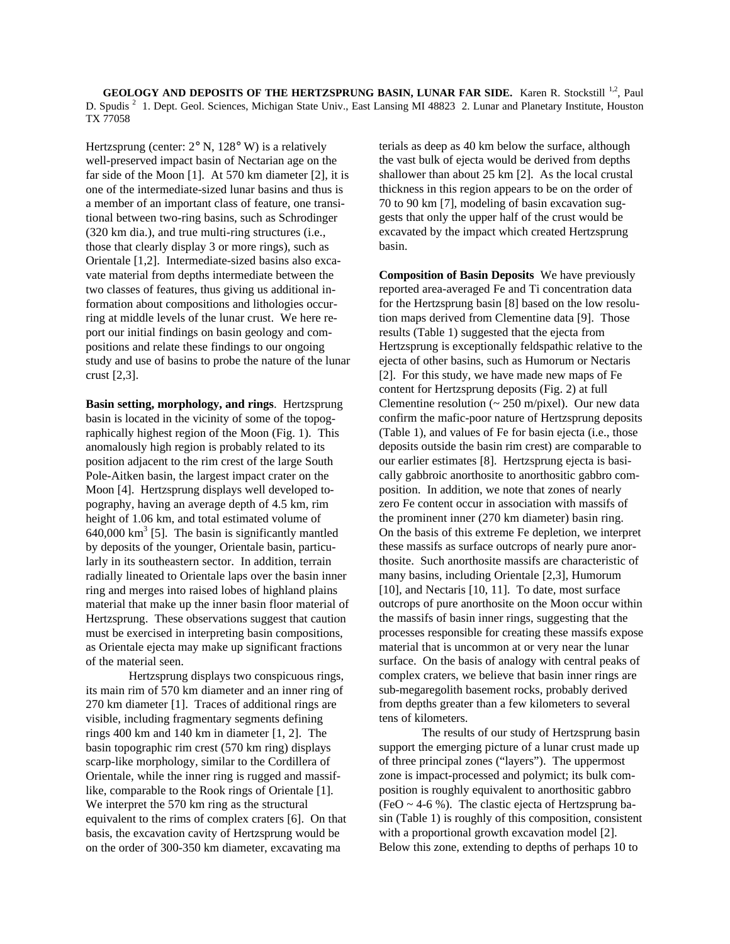**GEOLOGY AND DEPOSITS OF THE HERTZSPRUNG BASIN, LUNAR FAR SIDE.** Karen R. Stockstill <sup>1,2</sup>, Paul D. Spudis<sup>2</sup> 1. Dept. Geol. Sciences, Michigan State Univ., East Lansing MI 48823 2. Lunar and Planetary Institute, Houston TX 77058

Hertzsprung (center:  $2^{\circ}$  N,  $128^{\circ}$  W) is a relatively well-preserved impact basin of Nectarian age on the far side of the Moon [1]. At 570 km diameter [2], it is one of the intermediate-sized lunar basins and thus is a member of an important class of feature, one transitional between two-ring basins, such as Schrodinger (320 km dia.), and true multi-ring structures (i.e., those that clearly display 3 or more rings), such as Orientale [1,2]. Intermediate-sized basins also excavate material from depths intermediate between the two classes of features, thus giving us additional information about compositions and lithologies occurring at middle levels of the lunar crust. We here report our initial findings on basin geology and compositions and relate these findings to our ongoing study and use of basins to probe the nature of the lunar crust [2,3].

**Basin setting, morphology, and rings**. Hertzsprung basin is located in the vicinity of some of the topographically highest region of the Moon (Fig. 1). This anomalously high region is probably related to its position adjacent to the rim crest of the large South Pole-Aitken basin, the largest impact crater on the Moon [4]. Hertzsprung displays well developed topography, having an average depth of 4.5 km, rim height of 1.06 km, and total estimated volume of  $640,000$  km<sup>3</sup> [5]. The basin is significantly mantled by deposits of the younger, Orientale basin, particularly in its southeastern sector. In addition, terrain radially lineated to Orientale laps over the basin inner ring and merges into raised lobes of highland plains material that make up the inner basin floor material of Hertzsprung. These observations suggest that caution must be exercised in interpreting basin compositions, as Orientale ejecta may make up significant fractions of the material seen.

Hertzsprung displays two conspicuous rings, its main rim of 570 km diameter and an inner ring of 270 km diameter [1]. Traces of additional rings are visible, including fragmentary segments defining rings 400 km and 140 km in diameter [1, 2]. The basin topographic rim crest (570 km ring) displays scarp-like morphology, similar to the Cordillera of Orientale, while the inner ring is rugged and massiflike, comparable to the Rook rings of Orientale [1]. We interpret the 570 km ring as the structural equivalent to the rims of complex craters [6]. On that basis, the excavation cavity of Hertzsprung would be on the order of 300-350 km diameter, excavating ma

terials as deep as 40 km below the surface, although the vast bulk of ejecta would be derived from depths shallower than about 25 km [2]. As the local crustal thickness in this region appears to be on the order of 70 to 90 km [7], modeling of basin excavation suggests that only the upper half of the crust would be excavated by the impact which created Hertzsprung basin.

**Composition of Basin Deposits** We have previously reported area-averaged Fe and Ti concentration data for the Hertzsprung basin [8] based on the low resolution maps derived from Clementine data [9]. Those results (Table 1) suggested that the ejecta from Hertzsprung is exceptionally feldspathic relative to the ejecta of other basins, such as Humorum or Nectaris [2]. For this study, we have made new maps of Fe content for Hertzsprung deposits (Fig. 2) at full Clementine resolution  $\left(\sim 250 \text{ m/pixel}\right)$ . Our new data confirm the mafic-poor nature of Hertzsprung deposits (Table 1), and values of Fe for basin ejecta (i.e., those deposits outside the basin rim crest) are comparable to our earlier estimates [8]. Hertzsprung ejecta is basically gabbroic anorthosite to anorthositic gabbro composition. In addition, we note that zones of nearly zero Fe content occur in association with massifs of the prominent inner (270 km diameter) basin ring. On the basis of this extreme Fe depletion, we interpret these massifs as surface outcrops of nearly pure anorthosite. Such anorthosite massifs are characteristic of many basins, including Orientale [2,3], Humorum [10], and Nectaris [10, 11]. To date, most surface outcrops of pure anorthosite on the Moon occur within the massifs of basin inner rings, suggesting that the processes responsible for creating these massifs expose material that is uncommon at or very near the lunar surface. On the basis of analogy with central peaks of complex craters, we believe that basin inner rings are sub-megaregolith basement rocks, probably derived from depths greater than a few kilometers to several tens of kilometers.

The results of our study of Hertzsprung basin support the emerging picture of a lunar crust made up of three principal zones ("layers"). The uppermost zone is impact-processed and polymict; its bulk composition is roughly equivalent to anorthositic gabbro (FeO  $\sim$  4-6 %). The clastic ejecta of Hertzsprung basin (Table 1) is roughly of this composition, consistent with a proportional growth excavation model [2]. Below this zone, extending to depths of perhaps 10 to